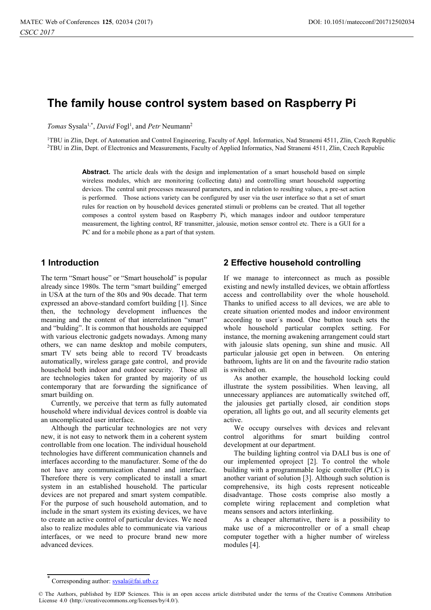# **The family house control system based on Raspberry Pi**

Tomas Sysala<sup>1,\*</sup>, *David* Fogl<sup>1</sup>, and *Petr* Neumann<sup>2</sup>

1TBU in Zlin, Dept. of Automation and Control Engineering, Faculty of Appl. Informatics, Nad Stranemi 4511, Zlin, Czech Republic 2TBU in Zlin, Dept. of Electronics and Measurements, Faculty of Applied Informatics, Nad Stranemi 4511, Zlin, Czech Republic

**Abstract.** The article deals with the design and implementation of a smart household based on simple wireless modules, which are monitoring (collecting data) and controlling smart household supporting devices. The central unit processes measured parameters, and in relation to resulting values, a pre-set action is performed. Those actions variety can be configured by user via the user interface so that a set of smart rules for reaction on by household devices generated stimuli or problems can be created. That all together composes a control system based on Raspberry Pi, which manages indoor and outdoor temperature measurement, the lighting control, RF transmitter, jalousie, motion sensor control etc. There is a GUI for a PC and for a mobile phone as a part of that system.

## **1 Introduction**

The term "Smart house" or "Smart household" is popular already since 1980s. The term "smart building" emerged in USA at the turn of the 80s and 90s decade. That term expressed an above-standard comfort building [1]. Since then, the technology development influences the meaning and the content of that interrelatinon "smart" and "bulding". It is common that housholds are equipped with various electronic gadgets nowadays. Among many others, we can name desktop and mobile computers, smart TV sets being able to record TV broadcasts automatically, wireless garage gate control, and provide household both indoor and outdoor security. Those all are technologies taken for granted by majority of us contemporary that are forwarding the significance of smart building on.

Currently, we perceive that term as fully automated household where individual devices control is doable via an uncomplicated user interface.

Although the particular technologies are not very new, it is not easy to network them in a coherent system controllable from one location. The individual household technologies have different communication channels and interfaces according to the manufacturer. Some of the do not have any communication channel and interface. Therefore there is very complicated to install a smart system in an established household. The particular devices are not prepared and smart system compatible. For the purpose of such household automation, and to include in the smart system its existing devices, we have to create an active control of particular devices. We need also to realize modules able to communicate via various interfaces, or we need to procure brand new more advanced devices.

## **2 Effective household controlling**

If we manage to interconnect as much as possible existing and newly installed devices, we obtain affortless access and controllability over the whole household. Thanks to unified access to all devices, we are able to create situation oriented modes and indoor environment according to user´s mood. One button touch sets the whole household particular complex setting. For instance, the morning awakening arrangement could start with jalousie slats opening, sun shine and music. All particular jalousie get open in between. On entering bathroom, lights are lit on and the favourite radio station is switched on.

As another example, the household locking could illustrate the system possibilities. When leaving, all unnecessary appliances are automatically switched off, the jalousies get partially closed, air condition stops operation, all lights go out, and all security elements get active.

We occupy ourselves with devices and relevant control algorithms for smart building control development at our department.

The building lighting control via DALI bus is one of our implemented oproject [2]. To control the whole building with a programmable logic controller (PLC) is another variant of solution [3]. Although such solution is comprehensive, its high costs represent noticeable disadvantage. Those costs comprise also mostly a complete wiring replacement and completion what means sensors and actors interlinking.

As a cheaper alternative, there is a possibility to make use of a microcontroller or of a small cheap computer together with a higher number of wireless modules [4].

<sup>\*</sup> Corresponding author: sysala@fai.utb.cz

<sup>©</sup> The Authors, published by EDP Sciences. This is an open access article distributed under the terms of the Creative Commons Attribution License 4.0 (http://creativecommons.org/licenses/by/4.0/).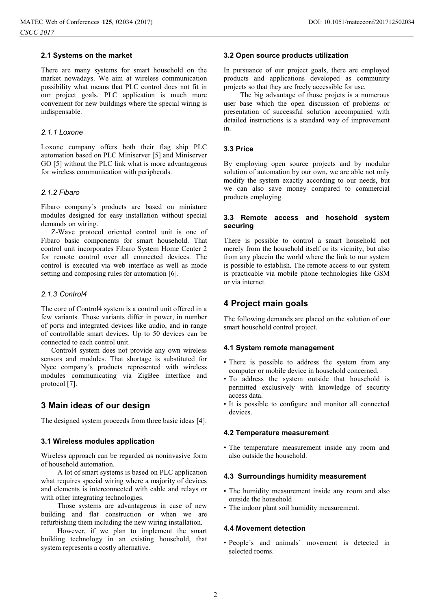## **2.1 Systems on the market**

There are many systems for smart household on the market nowadays. We aim at wireless communication possibility what means that PLC control does not fit in our project goals. PLC application is much more convenient for new buildings where the special wiring is indispensable.

## *2.1.1 Loxone*

Loxone company offers both their flag ship PLC automation based on PLC Miniserver [5] and Miniserver GO [5] without the PLC link what is more advantageous for wireless communication with peripherals.

## *2.1.2 Fibaro*

Fibaro company´s products are based on miniature modules designed for easy installation without special demands on wiring.

Z-Wave protocol oriented control unit is one of Fibaro basic components for smart household. That control unit incorporates Fibaro System Home Center 2 for remote control over all connected devices. The control is executed via web interface as well as mode setting and composing rules for automation [6].

#### *2.1.3 Control4*

The core of Control4 system is a control unit offered in a few variants. Those variants differ in power, in number of ports and integrated devices like audio, and in range of controllable smart devices. Up to 50 devices can be connected to each control unit.

Control4 system does not provide any own wireless sensors and modules. That shortage is substituted for Nyce company´s products represented with wireless modules communicating via ZigBee interface and protocol [7].

## **3 Main ideas of our design**

The designed system proceeds from three basic ideas [4].

#### **3.1 Wireless modules application**

Wireless approach can be regarded as noninvasive form of household automation.

A lot of smart systems is based on PLC application what requires special wiring where a majority of devices and elements is interconnected with cable and relays or with other integrating technologies.

Those systems are advantageous in case of new building and flat construction or when we are refurbishing them including the new wiring installation.

However, if we plan to implement the smart building technology in an existing household, that system represents a costly alternative.

#### **3.2 Open source products utilization**

In pursuance of our project goals, there are employed products and applications developed as community projects so that they are freely accessible for use.

The big advantage of those projets is a numerous user base which the open discussion of problems or presentation of successful solution accompanied with detailed instructions is a standard way of improvement in.

## **3.3 Price**

By employing open source projects and by modular solution of automation by our own, we are able not only modify the system exactly according to our needs, but we can also save money compared to commercial products employing.

## **3.3 Remote access and hosehold system securing**

There is possible to control a smart household not merely from the household itself or its vicinity, but also from any placein the world where the link to our system is possible to establish. The remote access to our system is practicable via mobile phone technologies like GSM or via internet.

## **4 Project main goals**

The following demands are placed on the solution of our smart household control project.

## **4.1 System remote management**

- There is possible to address the system from any computer or mobile device in household concerned.
- To address the system outside that household is permitted exclusively with knowledge of security access data.
- It is possible to configure and monitor all connected devices.

### **4.2 Temperature measurement**

• The temperature measurement inside any room and also outside the household.

### **4.3 Surroundings humidity measurement**

- The humidity measurement inside any room and also outside the household
- The indoor plant soil humidity measurement.

#### **4.4 Movement detection**

• People´s and animals´ movement is detected in selected rooms.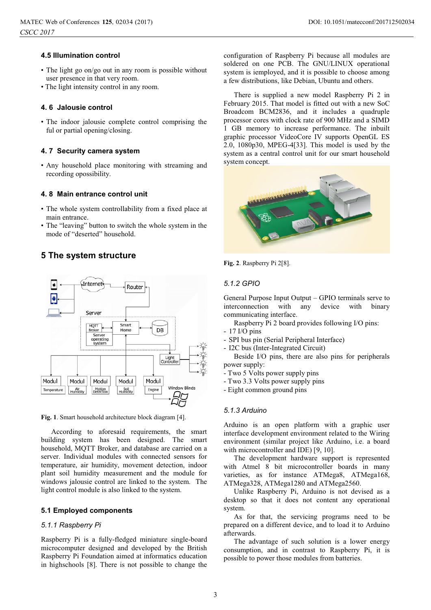## **4.5 Illumination control**

- The light go on/go out in any room is possible without user presence in that very room.
- The light intensity control in any room.

### **4. 6 Jalousie control**

• The indoor jalousie complete control comprising the ful or partial opening/closing.

#### **4. 7 Security camera system**

• Any household place monitoring with streaming and recording opossibility.

### **4. 8 Main entrance control unit**

- The whole system controllability from a fixed place at main entrance.
- The "leaving" button to switch the whole system in the mode of "deserted" household.

## **5 The system structure**



**Fig. 1**. Smart household architecture block diagram [4].

According to aforesaid requirements, the smart building system has been designed. The smart household, MQTT Broker, and database are carried on a server. Individual modules with connected sensors for temperature, air humidity, movement detection, indoor plant soil humidity measurement and the module for windows jalousie control are linked to the system. The light control module is also linked to the system.

## **5.1 Employed components**

#### *5.1.1 Raspberry Pi*

Raspberry Pi is a fully-fledged miniature single-board microcomputer designed and developed by the British Raspberry Pi Foundation aimed at informatics education in highschools [8]. There is not possible to change the configuration of Raspberry Pi because all modules are soldered on one PCB. The GNU/LINUX operational system is iemployed, and it is possible to choose among a few distributions, like Debian, Ubuntu and others.

There is supplied a new model Raspberry Pi 2 in February 2015. That model is fitted out with a new SoC Broadcom BCM2836, and it includes a quadruple processor cores with clock rate of 900 MHz and a SIMD 1 GB memory to increase performance. The inbuilt graphic processor VideoCore IV supports OpenGL ES 2.0, 1080p30, MPEG-4[33]. This model is used by the system as a central control unit for our smart household system concept.





## *5.1.2 GPIO*

General Purpose Input Output – GPIO terminals serve to interconnection with any device with binary communicating interface.

Raspberry Pi 2 board provides following I/O pins:

- 17 I/O pins
- SPI bus pin (Serial Peripheral Interface)
- I2C bus (Inter-Integrated Circuit)

Beside I/O pins, there are also pins for peripherals power supply:

- Two 5 Volts power supply pins
- Two 3.3 Volts power supply pins
- Eight common ground pins

## *5.1.3 Arduino*

Arduino is an open platform with a graphic user interface development environment related to the Wiring environment (similar project like Arduino, i.e. a board with microcontroller and IDE) [9, 10].

The development hardware support is represented with Atmel 8 bit microcontroller boards in many varieties, as for instance ATMega8, ATMega168, ATMega328, ATMega1280 and ATMega2560.

Unlike Raspberry Pi, Arduino is not devised as a desktop so that it does not content any operational system.

As for that, the servicing programs need to be prepared on a different device, and to load it to Arduino afterwards.

The advantage of such solution is a lower energy consumption, and in contrast to Raspberry Pi, it is possible to power those modules from batteries.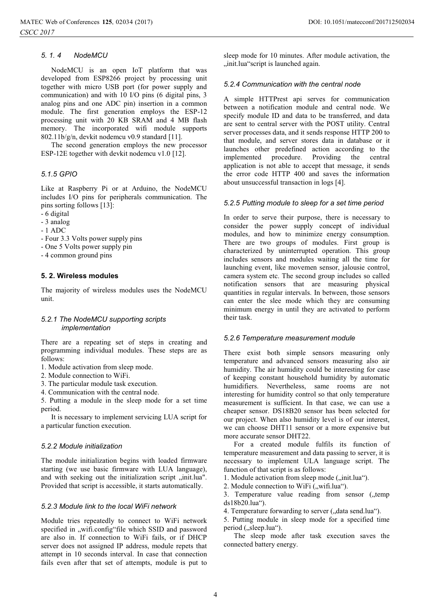## *5. 1. 4 NodeMCU*

NodeMCU is an open IoT platform that was developed from ESP8266 project by processing unit together with micro USB port (for power supply and communication) and with 10 I/O pins (6 digital pins, 3 analog pins and one ADC pin) insertion in a common module. The first generation employs the ESP-12 processing unit with 20 KB SRAM and 4 MB flash memory. The incorporated wifi module supports 802.11b/g/n, devkit nodemcu v0.9 standard [11].

The second generation employs the new processor ESP-12E together with devkit nodemcu v1.0 [12].

## *5.1.5 GPIO*

Like at Raspberry Pi or at Arduino, the NodeMCU includes I/O pins for peripherals communication. The pins sorting follows [13]:

- 6 digital
- 3 analog
- 1 ADC
- Four 3.3 Volts power supply pins
- One 5 Volts power supply pin
- 4 common ground pins

#### **5. 2. Wireless modules**

The majority of wireless modules uses the NodeMCU unit.

### *5.2.1 The NodeMCU supporting scripts implementation*

There are a repeating set of steps in creating and programming individual modules. These steps are as follows:

- 1. Module activation from sleep mode.
- 2. Module connection to WiFi.
- 3. The particular module task execution.
- 4. Communication with the central node.

5. Putting a module in the sleep mode for a set time period.

It is necessary to implement servicing LUA script for a particular function execution.

## *5.2.2 Module initialization*

The module initialization begins with loaded firmware starting (we use basic firmware with LUA language), and with seeking out the initialization script "init.lua". Provided that script is accessible, it starts automatically.

## *5.2.3 Module link to the local WiFi network*

Module tries repeatedly to connect to WiFi network specified in "wifi.config"file which SSID and password are also in. If connection to WiFi fails, or if DHCP server does not assigned IP address, module repets that attempt in 10 seconds interval. In case that connection fails even after that set of attempts, module is put to

sleep mode for 10 minutes. After module activation, the "init.lua"script is launched again.

## *5.2.4 Communication with the central node*

A simple HTTPrest api serves for communication between a notification module and central node. We specify module ID and data to be transferred, and data are sent to central server with the POST utility. Central server processes data, and it sends response HTTP 200 to that module, and server stores data in database or it launches other predefined action according to the implemented procedure. Providing the central application is not able to accept that message, it sends the error code HTTP 400 and saves the information about unsuccessful transaction in logs [4].

#### *5.2.5 Putting module to sleep for a set time period*

In order to serve their purpose, there is necessary to consider the power supply concept of individual modules, and how to minimize energy consumption. There are two groups of modules. First group is characterized by uninterrupted operation. This group includes sensors and modules waiting all the time for launching event, like movemen sensor, jalousie control, camera system etc. The second group includes so called notification sensors that are measuring physical quantities in regular intervals. In between, those sensors can enter the slee mode which they are consuming minimum energy in until they are activated to perform their task.

## *5.2.6 Temperature measurement module*

There exist both simple sensors measuring only temperature and advanced sensors measuring also air humidity. The air humidity could be interesting for case of keeping constant household humidity by automatic humidifiers. Nevertheless, same rooms are not interesting for humidity control so that only temperature measurement is sufficient. In that case, we can use a cheaper sensor. DS18B20 sensor has been selected for our project. When also humidity level is of our interest, we can choose DHT11 sensor or a more expensive but more accurate sensor DHT22.

For a created module fulfils its function of temperature measurement and data passing to server, it is necessary to implement ULA language script. The function of that script is as follows:

1. Module activation from sleep mode ("init.lua").

2. Module connection to WiFi ("wifi.lua").

3. Temperature value reading from sensor ("temp ds18b20.lua").

4. Temperature forwarding to server ("data send.lua").

5. Putting module in sleep mode for a specified time period ("sleep.lua").

The sleep mode after task execution saves the connected battery energy.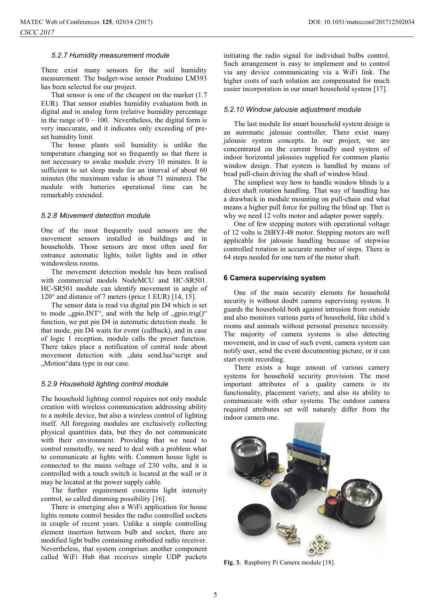### *5.2.7 Humidity measurement module*

There exist many sensors for the soil humidity measurement. The budget-wise sensor Produino LM393 has been selected for our project.

That sensor is one of the cheapest on the market (1.7 EUR). That sensor enables humidity evaluation both in digital and in analog form (relative humidity percentage in the range of  $0 - 100$ . Nevertheless, the digital form is very inaccurate, and it indicates only exceeding of preset humidity limit.

The house plants soil humidity is unlike the temperature changing not so frequently so that there is not necessary to awake module every 10 minutes. It is sufficient to set sleep mode for an interval of about 60 minutes (the maximum value is about 71 minutes). The module with batteries operational time can be remarkably extended.

## *5.2.8 Movement detection module*

One of the most frequently used sensors are the movement sensors installed in buildings and in households. Those sensors are most often used for entrance automatic lights, toilet lights and in other windowsless rooms.

The movement detection module has been realised with commercial models NodeMCU and HC-SR501. HC-SR501 module can identify movement in angle of 120° and distance of 7 meters (price 1 EUR) [14, 15].

The sensor data is read via digital pin D4 which is set to mode  $, gpio.INT$ ", and with the help of  $, gpio.trig()$ " function, we put pin D4 in automatic detection mode. In that mode, pin D4 waits for event (callback), and in case of logic 1 reception, module calls the preset function. There takes place a notification of central node about movement detection with "data send.lua"script and "Motion"data type in our case.

## *5.2.9 Household lighting control module*

The household lighting control requires not only module creation with wireless communication addressing ability to a mobile device, but also a wireless control of lighting itself. All foregoing modules are exclusively collecting physical quantities data, but they do not communicate with their environment. Providing that we need to control remotedly, we need to deal with a problem what to communicate at lights with. Common house light is connected to the mains voltage of 230 volts, and it is controlled with a touch switch is located at the wall or it may be located at the power supply cable.

The further requirement concerns light intensity control, so called dimming possibility [16].

There is emerging also a WiFi application for house lights remote control besides the radio controlled sockets in couple of recent years. Unlike a simple controlling element insertion between bulb and socket, there are modified light bulbs containing embodied radio receiver. Nevertheless, that system comprises another component called WiFi Hub that receives simple UDP packets

initiating the radio signal for individual bulbs control. Such arrangement is easy to implement and to control via any device communicating via a WiFi link. The higher costs of such solution are compensated for much easier incorporation in our smart household system [17].

## *5.2.10 Window jalousie adjustment module*

The last module for smart household system design is an automatic jalousie controller. There exist many jalousie system concepts. In our project, we are concentrated on the current broadly used system of indoor horizontal jalousies supplied for common plastic window design. That system is handled by means of bead pull-chain driving the shaft of window blind.

The simpliest way how to handle window blinds is a direct shaft rotation handling. That way of handling has a drawback in module mounting on pull-chain end what means a higher pull force for pulling the blind up. Thet is why we need 12 volts motor and adaptor power supply.

One of few stepping motors with operational voltage of 12 volts is 28BYJ-48 motor. Stepping motors are well applicable for jalousie handling because of stepwise controlled rotation in accurate number of steps. There is 64 steps needed for one turn of the motor shaft.

#### **6 Camera supervising system**

One of the main security elemnts for household security is without doubt camera supervising system. It guards the household both against intrusion from outside and also monitors various parts of household, like child´s rooms and animals without personal presence necessity. The majority of camera systems is also detecting movement, and in case of such event, camera system can notify user, send the event documenting picture, or it can start event recording.

There exists a huge amoun of various camery systems for household security provision. The most important attributes of a quality camera is its functionality, placement variety, and also its ability to communicate with other systems. The outdoor camera required attributes set will naturaly differ from the indoor camera one.



**Fig. 3.** Raspberry Pi Camera module [18].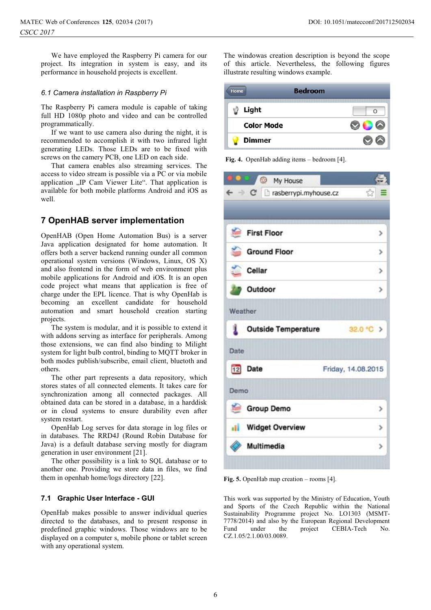We have employed the Raspberry Pi camera for our project. Its integration in system is easy, and its performance in household projects is excellent.

## *6.1 Camera installation in Raspberry Pi*

The Raspberry Pi camera module is capable of taking full HD 1080p photo and video and can be controlled programmatically.

If we want to use camera also during the night, it is recommended to accomplish it with two infrared light generating LEDs. Those LEDs are to be fixed with screws on the camery PCB, one LED on each side.

That camera enables also streaming services. The access to video stream is possible via a PC or via mobile application "IP Cam Viewer Lite". That application is available for both mobile platforms Android and iOS as well.

## **7 OpenHAB server implementation**

OpenHAB (Open Home Automation Bus) is a server Java application designated for home automation. It offers both a server backend running ounder all common operational system versions (Windows, Linux, OS X) and also frontend in the form of web environment plus mobile applications for Android and iOS. It is an open code project what means that application is free of charge under the EPL licence. That is why OpenHab is becoming an excellent candidate for household automation and smart household creation starting projects.

The system is modular, and it is possible to extend it with addons serving as interface for peripherals. Among those extensions, we can find also binding to Milight system for light bulb control, binding to MQTT broker in both modes publish/subscribe, email client, bluetoth and others.

The other part represents a data repository, which stores states of all connected elements. It takes care for synchronization among all connected packages. All obtained data can be stored in a database, in a harddisk or in cloud systems to ensure durability even after system restart.

OpenHab Log serves for data storage in log files or in databases. The RRD4J (Round Robin Database for Java) is a default database serving mostly for diagram generation in user environment [21].

The other possibility is a link to SQL database or to another one. Providing we store data in files, we find them in openhab home/logs directory [22].

## **7.1 Graphic User Interface - GUI**

OpenHab makes possible to answer individual queries directed to the databases, and to present response in predefined graphic windows. Those windows are to be displayed on a computer s, mobile phone or tablet screen with any operational system.

The windowas creation description is beyond the scope of this article. Nevertheless, the following figures illustrate resulting windows example.

| <b>Bedroom</b><br><b>Home</b> |        |
|-------------------------------|--------|
| Light                         | $\cap$ |
| <b>Color Mode</b>             |        |
| <b>Dimmer</b>                 |        |

**Fig. 4.** OpenHab adding items – bedroom [4].

| <b>BOU O</b> My House                                      |                    |
|------------------------------------------------------------|--------------------|
| $\leftarrow$ $\rightarrow$ C' $\Box$ rasberrypi.myhouse.cz | ☆ :                |
|                                                            |                    |
| N.<br><b>First Floor</b>                                   | >                  |
| <b>Ground Floor</b>                                        | $\rightarrow$      |
| Cellar                                                     | $\rightarrow$      |
| <b>D</b> Outdoor                                           | $\rightarrow$      |
| Weather                                                    |                    |
| <b>L</b> Outside Temperature                               | 32.0 °C >          |
| Date                                                       |                    |
| 12 Date                                                    | Friday, 14.08.2015 |
| Demo                                                       |                    |
| Group Demo                                                 | >                  |
| <b>Ill</b> Widget Overview                                 | $\rightarrow$      |
| Multimedia                                                 | $\rightarrow$      |

**Fig. 5.** OpenHab map creation – rooms [4].

This work was supported by the Ministry of Education, Youth and Sports of the Czech Republic within the National Sustainability Programme project No. LO1303 (MSMT-7778/2014) and also by the European Regional Development Fund under the project CEBIA-Tech No. CZ.1.05/2.1.00/03.0089.